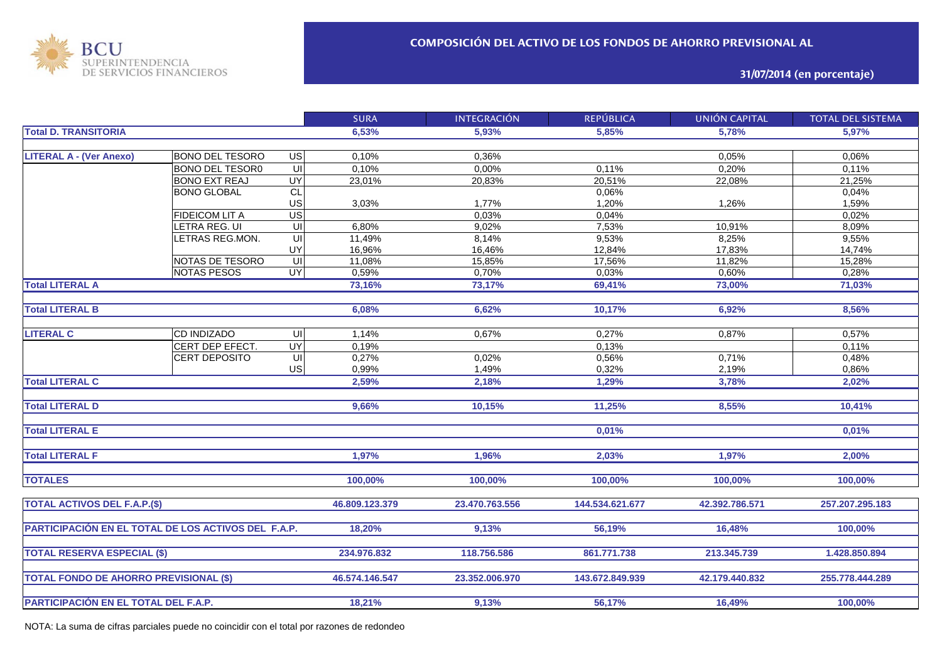

**31/07/2014 (en porcentaje)**

|                                                     |                        |                | <b>SURA</b>    | <b>INTEGRACIÓN</b> | <b>REPÚBLICA</b> | <b>UNIÓN CAPITAL</b> | <b>TOTAL DEL SISTEMA</b> |
|-----------------------------------------------------|------------------------|----------------|----------------|--------------------|------------------|----------------------|--------------------------|
| <b>Total D. TRANSITORIA</b>                         |                        | 6,53%          | 5.93%          | 5.85%              | 5.78%            | 5.97%                |                          |
|                                                     |                        |                |                |                    |                  |                      |                          |
| <b>LITERAL A - (Ver Anexo)</b>                      | <b>BONO DEL TESORO</b> | $\overline{G}$ | 0,10%          | 0,36%              |                  | 0,05%                | 0,06%                    |
|                                                     | <b>BONO DEL TESOR0</b> | $\sqcup$       | 0,10%          | 0,00%              | 0,11%            | 0,20%                | 0,11%                    |
|                                                     | <b>BONO EXT REAJ</b>   | UY             | 23,01%         | 20,83%             | 20,51%           | 22,08%               | 21,25%                   |
|                                                     | <b>BONO GLOBAL</b>     | CL             |                |                    | 0,06%            |                      | 0,04%                    |
|                                                     |                        | US             | 3,03%          | 1,77%              | 1,20%            | 1,26%                | 1,59%                    |
|                                                     | <b>FIDEICOM LIT A</b>  | US             |                | 0,03%              | 0,04%            |                      | 0,02%                    |
|                                                     | LETRA REG. UI          | UI             | 6,80%          | 9,02%              | 7,53%            | 10,91%               | 8,09%                    |
|                                                     | LETRAS REG.MON.        | U <sub>l</sub> | 11,49%         | 8,14%              | 9,53%            | 8,25%                | 9,55%                    |
|                                                     |                        | UY             | 16,96%         | 16,46%             | 12,84%           | 17,83%               | 14,74%                   |
|                                                     | NOTAS DE TESORO        | UI             | 11,08%         | 15,85%             | 17,56%           | 11,82%               | 15,28%                   |
|                                                     | <b>NOTAS PESOS</b>     | <b>UY</b>      | 0,59%          | 0,70%              | 0,03%            | 0,60%                | 0,28%                    |
| <b>Total LITERAL A</b>                              |                        |                | 73,16%         | 73,17%             | 69,41%           | 73,00%               | 71,03%                   |
|                                                     |                        |                |                |                    |                  |                      |                          |
| <b>Total LITERAL B</b>                              |                        |                | 6,08%          | 6,62%              | 10,17%           | 6,92%                | 8,56%                    |
|                                                     |                        |                |                |                    |                  |                      |                          |
| <b>LITERAL C</b>                                    | CD INDIZADO            | UI             | 1,14%          | 0,67%              | 0,27%            | 0,87%                | 0,57%                    |
|                                                     | CERT DEP EFECT.        | <b>UY</b>      | 0,19%          |                    | 0,13%            |                      | 0,11%                    |
|                                                     | CERT DEPOSITO          | UI             | 0,27%          | 0,02%              | 0,56%            | 0,71%                | 0,48%                    |
|                                                     |                        | US             | 0,99%          | 1,49%              | 0,32%            | 2,19%                | 0,86%                    |
| <b>Total LITERAL C</b>                              |                        |                | 2,59%          | 2,18%              | 1,29%            | 3,78%                | 2,02%                    |
|                                                     |                        |                |                |                    |                  |                      |                          |
| <b>Total LITERAL D</b>                              |                        |                | 9,66%          | 10,15%             | 11,25%           | 8,55%                | 10,41%                   |
|                                                     |                        |                |                |                    |                  |                      |                          |
| <b>Total LITERAL E</b>                              |                        |                |                |                    | 0,01%            |                      | 0,01%                    |
|                                                     |                        |                |                |                    |                  |                      |                          |
| <b>Total LITERAL F</b>                              |                        |                | 1,97%          | 1,96%              | 2,03%            | 1,97%                | 2,00%                    |
|                                                     |                        |                |                |                    |                  |                      |                          |
| <b>TOTALES</b>                                      |                        |                | 100,00%        | 100,00%            | 100,00%          | 100,00%              | 100,00%                  |
|                                                     |                        |                |                |                    |                  |                      |                          |
| <b>TOTAL ACTIVOS DEL F.A.P.(\$)</b>                 |                        |                | 46.809.123.379 | 23.470.763.556     | 144.534.621.677  | 42.392.786.571       | 257.207.295.183          |
|                                                     |                        |                |                |                    |                  |                      |                          |
| PARTICIPACIÓN EN EL TOTAL DE LOS ACTIVOS DEL F.A.P. |                        |                | 18,20%         | 9,13%              | 56,19%           | 16,48%               | 100.00%                  |
|                                                     |                        |                |                |                    |                  |                      |                          |
|                                                     |                        |                | 234.976.832    | 118.756.586        |                  |                      |                          |
| <b>TOTAL RESERVA ESPECIAL (\$)</b>                  |                        |                |                |                    | 861.771.738      | 213.345.739          | 1.428.850.894            |
|                                                     |                        |                |                |                    |                  |                      |                          |
| <b>TOTAL FONDO DE AHORRO PREVISIONAL (\$)</b>       |                        |                | 46.574.146.547 | 23.352.006.970     | 143.672.849.939  | 42.179.440.832       | 255.778.444.289          |
|                                                     |                        |                |                |                    |                  |                      |                          |
| PARTICIPACIÓN EN EL TOTAL DEL F.A.P.                |                        |                | 18,21%         | 9,13%              | 56,17%           | 16,49%               | 100,00%                  |

NOTA: La suma de cifras parciales puede no coincidir con el total por razones de redondeo